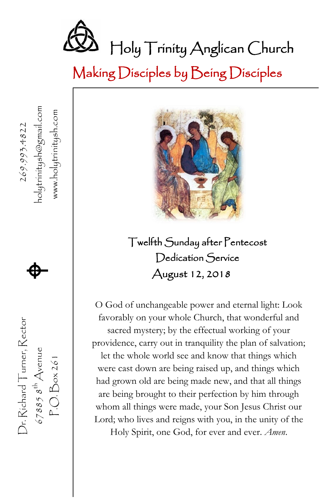

Making Disciples by Being Disciples

nolytrinitysh@gmail.com www.holytrinitysh.com P.O. Box 261 www.holytrinitysh.com 269.993.4822



67885  $s^{\text{th}}$  Avenue **that**  $\bullet$  **h**olytrinitysh@gmail.com Dr. Richard Tumer, Rector Dr. Richard Turner, Rector  $678858^{th}$  Avenue<br>P.O. Box 261



Twelfth Sunday after Pentecost Dedication Service August 12, 2018

O God of unchangeable power and eternal light: Look favorably on your whole Church, that wonderful and sacred mystery; by the effectual working of your providence, carry out in tranquility the plan of salvation; let the whole world see and know that things which were cast down are being raised up, and things which had grown old are being made new, and that all things are being brought to their perfection by him through whom all things were made, your Son Jesus Christ our Lord; who lives and reigns with you, in the unity of the Holy Spirit, one God, for ever and ever. *Amen*.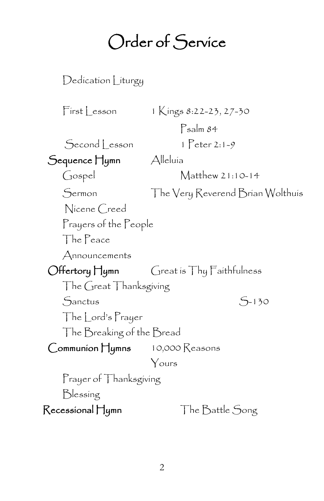## Order of Service

Dedication Liturgy  $First Lesson 1$  Kings 8:22-23, 27-30 Psalm 84  $Second|$  esson  $1$   $Peter 2:1-9$  Sequence Hymn Alleluia Gospel Matthew 21:10-14 Sermon The Very Reverend Brian Wolthuis Nicene Creed Prayers of the People The Peace Announcements Offertory Hymn Great is Thy Faithfulness The Great Thanksgiving Sanctus S-130 The Lord's Prayer The Breaking of the Bread Communion Hymns 10,000 Reasons Yours Prayer of Thanksgiving Blessing Recessional Hymn The Battle Song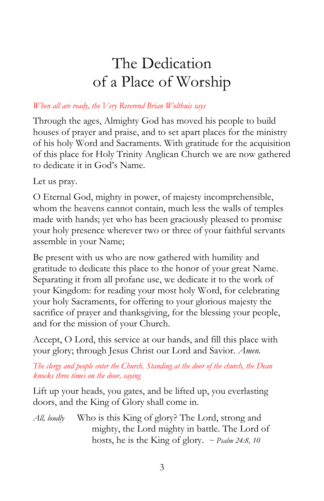## The Dedication of a Place of Worship

#### *When all are ready, the Very Reverend Brian Wolthuis says*

Through the ages, Almighty God has moved his people to build houses of prayer and praise, and to set apart places for the ministry of his holy Word and Sacraments. With gratitude for the acquisition of this place for Holy Trinity Anglican Church we are now gathered to dedicate it in God's Name.

Let us pray.

O Eternal God, mighty in power, of majesty incomprehensible, whom the heavens cannot contain, much less the walls of temples made with hands; yet who has been graciously pleased to promise your holy presence wherever two or three of your faithful servants assemble in your Name;

Be present with us who are now gathered with humility and gratitude to dedicate this place to the honor of your great Name. Separating it from all profane use, we dedicate it to the work of your Kingdom: for reading your most holy Word, for celebrating your holy Sacraments, for offering to your glorious majesty the sacrifice of prayer and thanksgiving, for the blessing your people, and for the mission of your Church.

Accept, O Lord, this service at our hands, and fill this place with your glory; through Jesus Christ our Lord and Savior. *Amen.*

*The clergy and people enter the Church. Standing at the door of the church, the Dean knocks three times on the door, saying*

Lift up your heads, you gates, and be lifted up, you everlasting doors, and the King of Glory shall come in.

*All, loudly* Who is this King of glory? The Lord, strong and mighty, the Lord mighty in battle. The Lord of hosts, he is the King of glory. *~ Psalm 24:8, 10*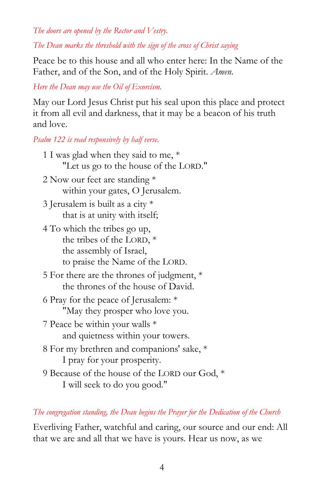*The doors are opened by the Rector and Vestry.* 

*The Dean marks the threshold with the sign of the cross of Christ saying*

Peace be to this house and all who enter here: In the Name of the Father, and of the Son, and of the Holy Spirit. *Amen*.

*Here the Dean may use the Oil of Exorcism.*

May our Lord Jesus Christ put his seal upon this place and protect it from all evil and darkness, that it may be a beacon of his truth and love.

*Psalm 122 is read responsively by half verse.*

| 1 I was glad when they said to me, *          |
|-----------------------------------------------|
| "Let us go to the house of the LORD."         |
| 2 Now our feet are standing $*$               |
| within your gates, O Jerusalem.               |
| 3 Jerusalem is built as a city $*$            |
| that is at unity with itself;                 |
| 4 To which the tribes go up,                  |
| the tribes of the LORD, $*$                   |
| the assembly of Israel,                       |
| to praise the Name of the LORD.               |
| 5 For there are the thrones of judgment, *    |
| the thrones of the house of David.            |
| 6 Pray for the peace of Jerusalem: *          |
| "May they prosper who love you.               |
| 7 Peace be within your walls *                |
| and quietness within your towers.             |
| 8 For my brethren and companions' sake, *     |
| I pray for your prosperity.                   |
| 9 Because of the house of the LORD our God, * |
| I will seek to do you good."                  |

*The congregation standing, the Dean begins the Prayer for the Dedication of the Church*

Everliving Father, watchful and caring, our source and our end: All that we are and all that we have is yours. Hear us now, as we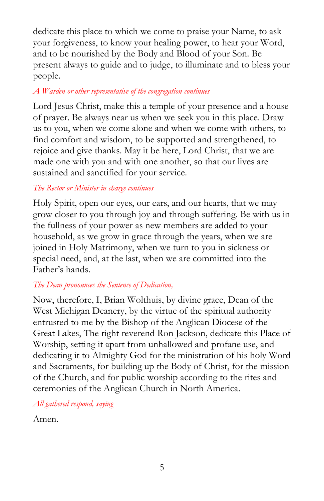dedicate this place to which we come to praise your Name, to ask your forgiveness, to know your healing power, to hear your Word, and to be nourished by the Body and Blood of your Son. Be present always to guide and to judge, to illuminate and to bless your people.

#### *A Warden or other representative of the congregation continues*

Lord Jesus Christ, make this a temple of your presence and a house of prayer. Be always near us when we seek you in this place. Draw us to you, when we come alone and when we come with others, to find comfort and wisdom, to be supported and strengthened, to rejoice and give thanks. May it be here, Lord Christ, that we are made one with you and with one another, so that our lives are sustained and sanctified for your service.

#### *The Rector or Minister in charge continues*

Holy Spirit, open our eyes, our ears, and our hearts, that we may grow closer to you through joy and through suffering. Be with us in the fullness of your power as new members are added to your household, as we grow in grace through the years, when we are joined in Holy Matrimony, when we turn to you in sickness or special need, and, at the last, when we are committed into the Father's hands.

#### *The Dean pronounces the Sentence of Dedication,*

Now, therefore, I, Brian Wolthuis, by divine grace, Dean of the West Michigan Deanery, by the virtue of the spiritual authority entrusted to me by the Bishop of the Anglican Diocese of the Great Lakes, The right reverend Ron Jackson, dedicate this Place of Worship, setting it apart from unhallowed and profane use, and dedicating it to Almighty God for the ministration of his holy Word and Sacraments, for building up the Body of Christ, for the mission of the Church, and for public worship according to the rites and ceremonies of the Anglican Church in North America.

*All gathered respond, saying*

Amen.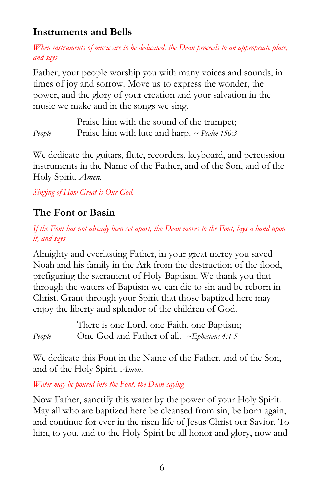#### **Instruments and Bells**

*When instruments of music are to be dedicated, the Dean proceeds to an appropriate place, and says*

Father, your people worship you with many voices and sounds, in times of joy and sorrow. Move us to express the wonder, the power, and the glory of your creation and your salvation in the music we make and in the songs we sing.

Praise him with the sound of the trumpet; *People* Praise him with lute and harp. *~ Psalm 150:3* 

We dedicate the guitars, flute, recorders, keyboard, and percussion instruments in the Name of the Father, and of the Son, and of the Holy Spirit. *Amen.*

*Singing of How Great is Our God.*

#### **The Font or Basin**

*If the Font has not already been set apart, the Dean moves to the Font, lays a hand upon it, and says*

Almighty and everlasting Father, in your great mercy you saved Noah and his family in the Ark from the destruction of the flood, prefiguring the sacrament of Holy Baptism. We thank you that through the waters of Baptism we can die to sin and be reborn in Christ. Grant through your Spirit that those baptized here may enjoy the liberty and splendor of the children of God.

There is one Lord, one Faith, one Baptism; *People* One God and Father of all. *~Ephesians 4:4-5*

We dedicate this Font in the Name of the Father, and of the Son, and of the Holy Spirit. *Amen.*

*Water may be poured into the Font, the Dean saying*

Now Father, sanctify this water by the power of your Holy Spirit. May all who are baptized here be cleansed from sin, be born again, and continue for ever in the risen life of Jesus Christ our Savior. To him, to you, and to the Holy Spirit be all honor and glory, now and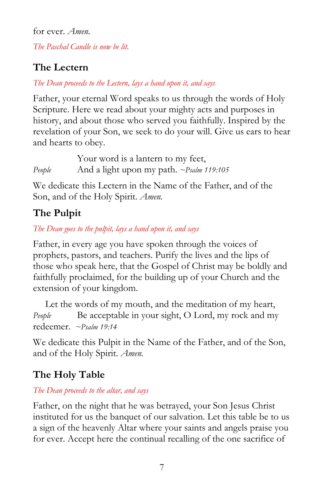for ever. *Amen. The Paschal Candle is now be lit.*

#### **The Lectern**

*The Dean proceeds to the Lectern, lays a hand upon it, and says*

Father, your eternal Word speaks to us through the words of Holy Scripture. Here we read about your mighty acts and purposes in history, and about those who served you faithfully. Inspired by the revelation of your Son, we seek to do your will. Give us ears to hear and hearts to obey.

Your word is a lantern to my feet, *People* And a light upon my path. *~Psalm 119:105*

We dedicate this Lectern in the Name of the Father, and of the Son, and of the Holy Spirit. *Amen.*

#### **The Pulpit**

*The Dean goes to the pulpit, lays a hand upon it, and says*

Father, in every age you have spoken through the voices of prophets, pastors, and teachers. Purify the lives and the lips of those who speak here, that the Gospel of Christ may be boldly and faithfully proclaimed, for the building up of your Church and the extension of your kingdom.

 Let the words of my mouth, and the meditation of my heart, *People* Be acceptable in your sight, O Lord, my rock and my redeemer. *~Psalm 19:14*

We dedicate this Pulpit in the Name of the Father, and of the Son, and of the Holy Spirit. *Amen.*

### **The Holy Table**

#### *The Dean proceeds to the altar, and says*

Father, on the night that he was betrayed, your Son Jesus Christ instituted for us the banquet of our salvation. Let this table be to us a sign of the heavenly Altar where your saints and angels praise you for ever. Accept here the continual recalling of the one sacrifice of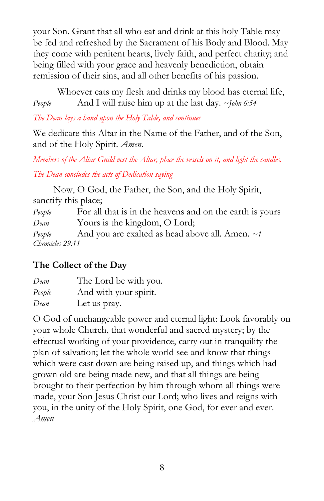your Son. Grant that all who eat and drink at this holy Table may be fed and refreshed by the Sacrament of his Body and Blood. May they come with penitent hearts, lively faith, and perfect charity; and being filled with your grace and heavenly benediction, obtain remission of their sins, and all other benefits of his passion.

 Whoever eats my flesh and drinks my blood has eternal life, *People* And I will raise him up at the last day. *~John 6:54*

*The Dean lays a hand upon the Holy Table, and continues*

We dedicate this Altar in the Name of the Father, and of the Son, and of the Holy Spirit. *Amen*.

*Members of the Altar Guild vest the Altar, place the vessels on it, and light the candles. The Dean concludes the acts of Dedication saying*

 Now, O God, the Father, the Son, and the Holy Spirit, sanctify this place;

People For all that is in the heavens and on the earth is yours *Dean* Yours is the kingdom, O Lord; *People* And you are exalted as head above all. Amen. *~1* 

*Chronicles 29:11*

#### **The Collect of the Day**

| Dean   | The Lord be with you. |
|--------|-----------------------|
| People | And with your spirit. |
| Dean   | Let us pray.          |

O God of unchangeable power and eternal light: Look favorably on your whole Church, that wonderful and sacred mystery; by the effectual working of your providence, carry out in tranquility the plan of salvation; let the whole world see and know that things which were cast down are being raised up, and things which had grown old are being made new, and that all things are being brought to their perfection by him through whom all things were made, your Son Jesus Christ our Lord; who lives and reigns with you, in the unity of the Holy Spirit, one God, for ever and ever. *Amen*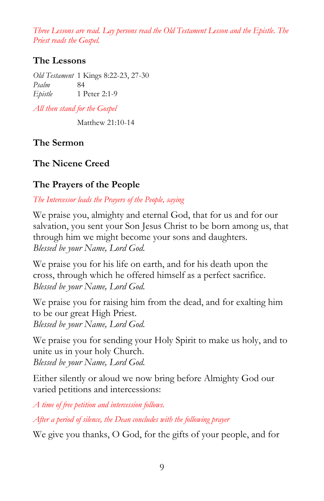*Three Lessons are read. Lay persons read the Old Testament Lesson and the Epistle. The Priest reads the Gospel.* 

#### **The Lessons**

*Old Testament* 1 Kings 8:22-23, 27-30 *Psalm* 84 *Epistle* 1 Peter 2:1-9

*All then stand for the Gospel*

Matthew 21:10-14

**The Sermon**

#### **The Nicene Creed**

#### **The Prayers of the People**

*The Intercessor leads the Prayers of the People, saying*

We praise you, almighty and eternal God, that for us and for our salvation, you sent your Son Jesus Christ to be born among us, that through him we might become your sons and daughters. *Blessed be your Name, Lord God.*

We praise you for his life on earth, and for his death upon the cross, through which he offered himself as a perfect sacrifice. *Blessed be your Name, Lord God.*

We praise you for raising him from the dead, and for exalting him to be our great High Priest. *Blessed be your Name, Lord God.*

We praise you for sending your Holy Spirit to make us holy, and to unite us in your holy Church. *Blessed be your Name, Lord God.*

Either silently or aloud we now bring before Almighty God our varied petitions and intercessions:

*A time of free petition and intercession follows.*

*After a period of silence, the Dean concludes with the following prayer*

We give you thanks, O God, for the gifts of your people, and for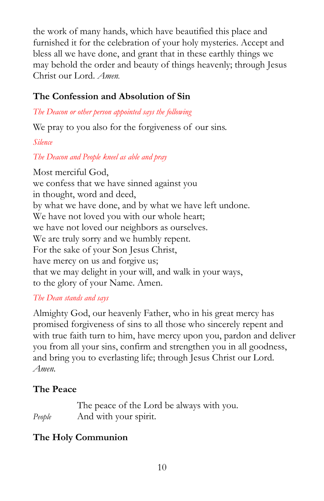the work of many hands, which have beautified this place and furnished it for the celebration of your holy mysteries. Accept and bless all we have done, and grant that in these earthly things we may behold the order and beauty of things heavenly; through Jesus Christ our Lord. *Amen.*

#### **The Confession and Absolution of Sin**

*The Deacon or other person appointed says the following*

We pray to you also for the forgiveness of our sins.

*Silence*

#### *The Deacon and People kneel as able and pray*

Most merciful God, we confess that we have sinned against you in thought, word and deed, by what we have done, and by what we have left undone. We have not loved you with our whole heart; we have not loved our neighbors as ourselves. We are truly sorry and we humbly repent. For the sake of your Son Jesus Christ, have mercy on us and forgive us; that we may delight in your will, and walk in your ways, to the glory of your Name. Amen.

#### *The Dean stands and says*

Almighty God, our heavenly Father, who in his great mercy has promised forgiveness of sins to all those who sincerely repent and with true faith turn to him, have mercy upon you, pardon and deliver you from all your sins, confirm and strengthen you in all goodness, and bring you to everlasting life; through Jesus Christ our Lord. *Amen.*

#### **The Peace**

The peace of the Lord be always with you. *People* And with your spirit.

#### **The Holy Communion**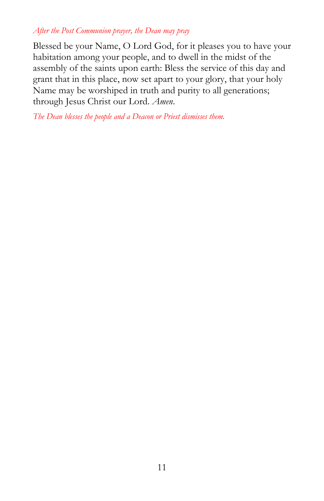#### *After the Post Communion prayer, the Dean may pray*

Blessed be your Name, O Lord God, for it pleases you to have your habitation among your people, and to dwell in the midst of the assembly of the saints upon earth: Bless the service of this day and grant that in this place, now set apart to your glory, that your holy Name may be worshiped in truth and purity to all generations; through Jesus Christ our Lord. *Amen*.

*The Dean blesses the people and a Deacon or Priest dismisses them.*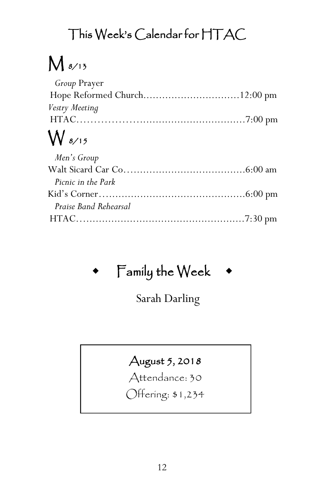## This Week's Calendar for HTAC

# $M$  8/13

| <i>Group</i> Prayer |  |
|---------------------|--|
|                     |  |
| Vestry Meeting      |  |
|                     |  |
| $\bigvee$ 8/15      |  |
| Men's Group         |  |
|                     |  |
| Picnic in the Park  |  |
|                     |  |
|                     |  |

| Praise Band Rehearsal |  |
|-----------------------|--|
|                       |  |

## Family the Week

Sarah Darling

### August 5, 2018

Attendance: 30

Offering: \$1,234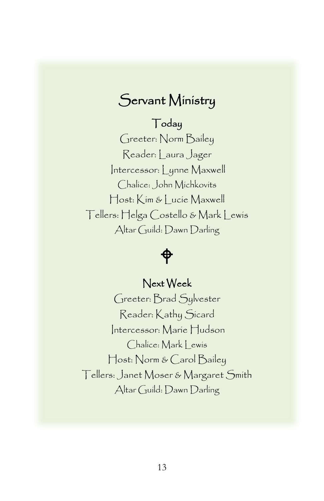## Servant Ministry

### Today

Greeter: Norm Bailey Reader: Laura Jager Intercessor: Lynne Maxwell Chalice: John Michkovits Host: Kim & Lucie Maxwell Tellers: Helga Costello & Mark Lewis Altar Guild: Dawn Darling

## �

#### Next Week

Greeter: Brad Sylvester Reader: Kathy Sicard Intercessor: Marie Hudson Chalice: Mark | ewis Host: Norm & Carol Bailey Tellers: Janet Moser & Margaret Smith Altar Guild: Dawn Darling